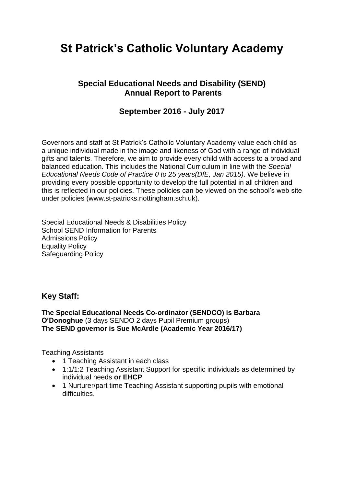# **St Patrick's Catholic Voluntary Academy**

## **Special Educational Needs and Disability (SEND) Annual Report to Parents**

## **September 2016 - July 2017**

Governors and staff at St Patrick's Catholic Voluntary Academy value each child as a unique individual made in the image and likeness of God with a range of individual gifts and talents. Therefore, we aim to provide every child with access to a broad and balanced education. This includes the National Curriculum in line with the *Special Educational Needs Code of Practice 0 to 25 years(DfE, Jan 2015)*. We believe in providing every possible opportunity to develop the full potential in all children and this is reflected in our policies. These policies can be viewed on the school's web site under policies (www.st-patricks.nottingham.sch.uk).

Special Educational Needs & Disabilities Policy School SEND Information for Parents Admissions Policy Equality Policy Safeguarding Policy

## **Key Staff:**

**The Special Educational Needs Co-ordinator (SENDCO) is Barbara O'Donoghue** (3 days SENDO 2 days Pupil Premium groups) **The SEND governor is Sue McArdle (Academic Year 2016/17)**

Teaching Assistants

- 1 Teaching Assistant in each class
- 1:1/1:2 Teaching Assistant Support for specific individuals as determined by individual needs **or EHCP**
- 1 Nurturer/part time Teaching Assistant supporting pupils with emotional difficulties.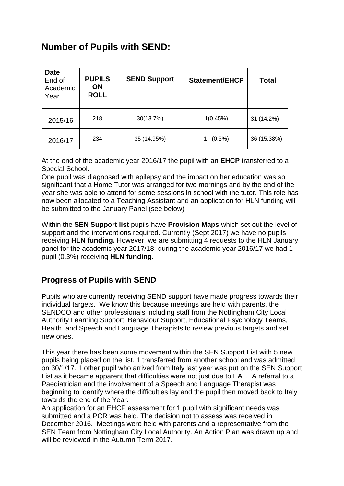## **Number of Pupils with SEND:**

| <b>Date</b><br>End of<br>Academic<br>Year | <b>PUPILS</b><br><b>ON</b><br><b>ROLL</b> | <b>SEND Support</b> | Statement/EHCP | <b>Total</b> |
|-------------------------------------------|-------------------------------------------|---------------------|----------------|--------------|
| 2015/16                                   | 218                                       | 30(13.7%)           | 1(0.45%)       | 31 (14.2%)   |
| 2016/17                                   | 234                                       | 35 (14.95%)         | $(0.3\%)$      | 36 (15.38%)  |

At the end of the academic year 2016/17 the pupil with an **EHCP** transferred to a Special School.

One pupil was diagnosed with epilepsy and the impact on her education was so significant that a Home Tutor was arranged for two mornings and by the end of the year she was able to attend for some sessions in school with the tutor. This role has now been allocated to a Teaching Assistant and an application for HLN funding will be submitted to the January Panel (see below)

Within the **SEN Support list** pupils have **Provision Maps** which set out the level of support and the interventions required. Currently (Sept 2017) we have no pupils receiving **HLN funding.** However, we are submitting 4 requests to the HLN January panel for the academic year 2017/18; during the academic year 2016/17 we had 1 pupil (0.3%) receiving **HLN funding**.

## **Progress of Pupils with SEND**

Pupils who are currently receiving SEND support have made progress towards their individual targets. We know this because meetings are held with parents, the SENDCO and other professionals including staff from the Nottingham City Local Authority Learning Support, Behaviour Support, Educational Psychology Teams, Health, and Speech and Language Therapists to review previous targets and set new ones.

This year there has been some movement within the SEN Support List with 5 new pupils being placed on the list. 1 transferred from another school and was admitted on 30/1/17. 1 other pupil who arrived from Italy last year was put on the SEN Support List as it became apparent that difficulties were not just due to EAL. A referral to a Paediatrician and the involvement of a Speech and Language Therapist was beginning to identify where the difficulties lay and the pupil then moved back to Italy towards the end of the Year.

An application for an EHCP assessment for 1 pupil with significant needs was submitted and a PCR was held. The decision not to assess was received in December 2016. Meetings were held with parents and a representative from the SEN Team from Nottingham City Local Authority. An Action Plan was drawn up and will be reviewed in the Autumn Term 2017.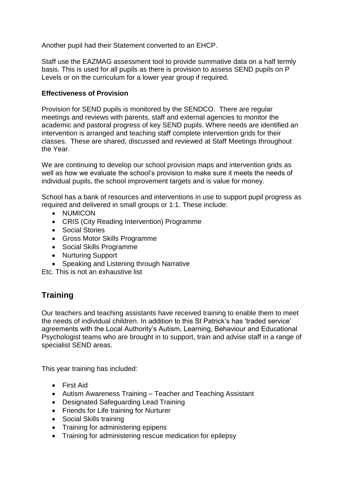Another pupil had their Statement converted to an EHCP.

Staff use the EAZMAG assessment tool to provide summative data on a half termly basis. This is used for all pupils as there is provision to assess SEND pupils on P Levels or on the curriculum for a lower year group if required.

#### **Effectiveness of Provision**

Provision for SEND pupils is monitored by the SENDCO. There are regular meetings and reviews with parents, staff and external agencies to monitor the academic and pastoral progress of key SEND pupils. Where needs are identified an intervention is arranged and teaching staff complete intervention grids for their classes. These are shared, discussed and reviewed at Staff Meetings throughout the Year.

We are continuing to develop our school provision maps and intervention grids as well as how we evaluate the school's provision to make sure it meets the needs of individual pupils, the school improvement targets and is value for money.

School has a bank of resources and interventions in use to support pupil progress as required and delivered in small groups or 1:1. These include:

- NUMICON
- CRIS (City Reading Intervention) Programme
- Social Stories
- Gross Motor Skills Programme
- Social Skills Programme
- Nurturing Support
- Speaking and Listening through Narrative

Etc. This is not an exhaustive list

## **Training**

Our teachers and teaching assistants have received training to enable them to meet the needs of individual children. In addition to this St Patrick's has 'traded service' agreements with the Local Authority's Autism, Learning, Behaviour and Educational Psychologist teams who are brought in to support, train and advise staff in a range of specialist SEND areas.

This year training has included:

- First Aid
- Autism Awareness Training Teacher and Teaching Assistant
- Designated Safeguarding Lead Training
- Friends for Life training for Nurturer
- Social Skills training
- Training for administering epipens
- Training for administering rescue medication for epilepsy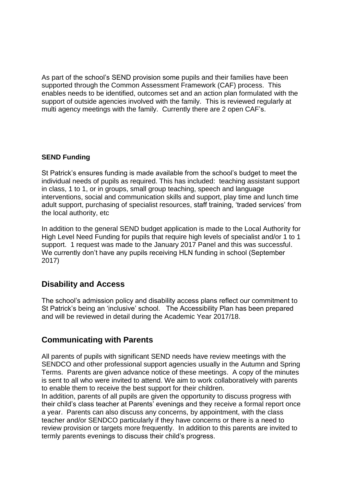As part of the school's SEND provision some pupils and their families have been supported through the Common Assessment Framework (CAF) process. This enables needs to be identified, outcomes set and an action plan formulated with the support of outside agencies involved with the family. This is reviewed regularly at multi agency meetings with the family. Currently there are 2 open CAF's.

#### **SEND Funding**

St Patrick's ensures funding is made available from the school's budget to meet the individual needs of pupils as required. This has included: teaching assistant support in class, 1 to 1, or in groups, small group teaching, speech and language interventions, social and communication skills and support, play time and lunch time adult support, purchasing of specialist resources, staff training, 'traded services' from the local authority, etc

In addition to the general SEND budget application is made to the Local Authority for High Level Need Funding for pupils that require high levels of specialist and/or 1 to 1 support. 1 request was made to the January 2017 Panel and this was successful. We currently don't have any pupils receiving HLN funding in school (September 2017)

## **Disability and Access**

The school's admission policy and disability access plans reflect our commitment to St Patrick's being an 'inclusive' school. The Accessibility Plan has been prepared and will be reviewed in detail during the Academic Year 2017/18.

## **Communicating with Parents**

All parents of pupils with significant SEND needs have review meetings with the SENDCO and other professional support agencies usually in the Autumn and Spring Terms. Parents are given advance notice of these meetings. A copy of the minutes is sent to all who were invited to attend. We aim to work collaboratively with parents to enable them to receive the best support for their children.

In addition, parents of all pupils are given the opportunity to discuss progress with their child's class teacher at Parents' evenings and they receive a formal report once a year. Parents can also discuss any concerns, by appointment, with the class teacher and/or SENDCO particularly if they have concerns or there is a need to review provision or targets more frequently. In addition to this parents are invited to termly parents evenings to discuss their child's progress.